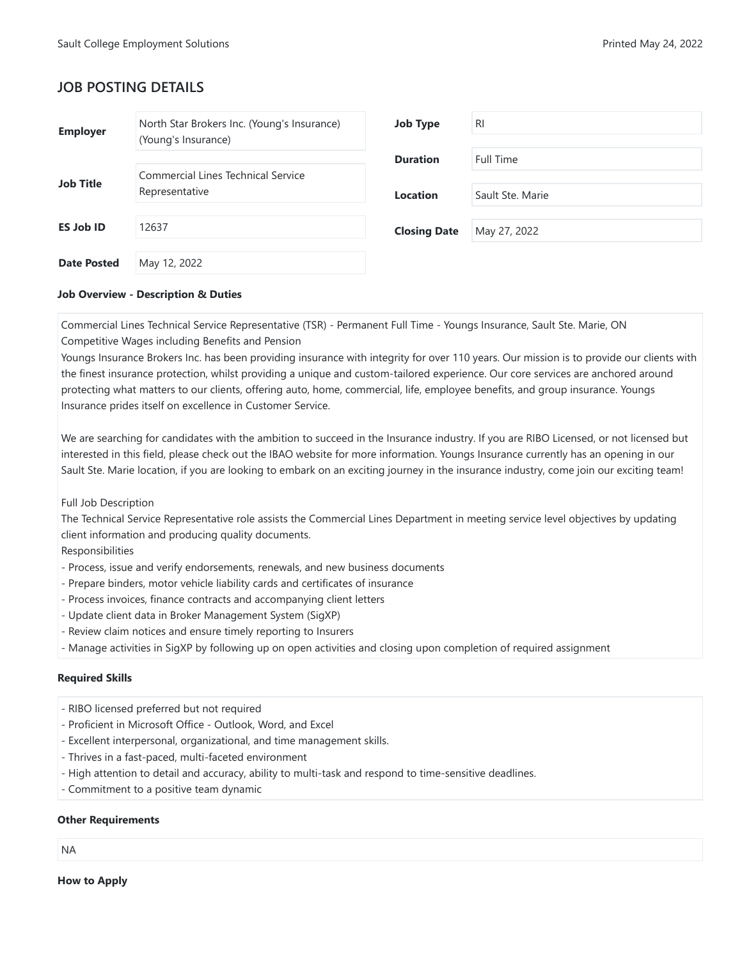# **JOB POSTING DETAILS**

| <b>Employer</b>    | North Star Brokers Inc. (Young's Insurance)<br>(Young's Insurance) | <b>Job Type</b>     | <b>RI</b>        |
|--------------------|--------------------------------------------------------------------|---------------------|------------------|
|                    | <b>Commercial Lines Technical Service</b>                          | <b>Duration</b>     | Full Time        |
| <b>Job Title</b>   | Representative                                                     | <b>Location</b>     | Sault Ste. Marie |
| <b>ES Job ID</b>   | 12637                                                              | <b>Closing Date</b> | May 27, 2022     |
| <b>Date Posted</b> | May 12, 2022                                                       |                     |                  |

### **Job Overview - Description & Duties**

Commercial Lines Technical Service Representative (TSR) - Permanent Full Time - Youngs Insurance, Sault Ste. Marie, ON Competitive Wages including Benefits and Pension

Youngs Insurance Brokers Inc. has been providing insurance with integrity for over 110 years. Our mission is to provide our clients with the finest insurance protection, whilst providing a unique and custom-tailored experience. Our core services are anchored around protecting what matters to our clients, offering auto, home, commercial, life, employee benefits, and group insurance. Youngs Insurance prides itself on excellence in Customer Service.

We are searching for candidates with the ambition to succeed in the Insurance industry. If you are RIBO Licensed, or not licensed but interested in this field, please check out the IBAO website for more information. Youngs Insurance currently has an opening in our Sault Ste. Marie location, if you are looking to embark on an exciting journey in the insurance industry, come join our exciting team!

## Full Job Description

The Technical Service Representative role assists the Commercial Lines Department in meeting service level objectives by updating client information and producing quality documents.

Responsibilities

- Process, issue and verify endorsements, renewals, and new business documents
- Prepare binders, motor vehicle liability cards and certificates of insurance
- Process invoices, finance contracts and accompanying client letters
- Update client data in Broker Management System (SigXP)
- Review claim notices and ensure timely reporting to Insurers
- Manage activities in SigXP by following up on open activities and closing upon completion of required assignment

## **Required Skills**

- RIBO licensed preferred but not required
- Proficient in Microsoft Office Outlook, Word, and Excel
- Excellent interpersonal, organizational, and time management skills.
- Thrives in a fast-paced, multi-faceted environment
- High attention to detail and accuracy, ability to multi-task and respond to time-sensitive deadlines.
- Commitment to a positive team dynamic

#### **Other Requirements**

#### NA

**How to Apply**